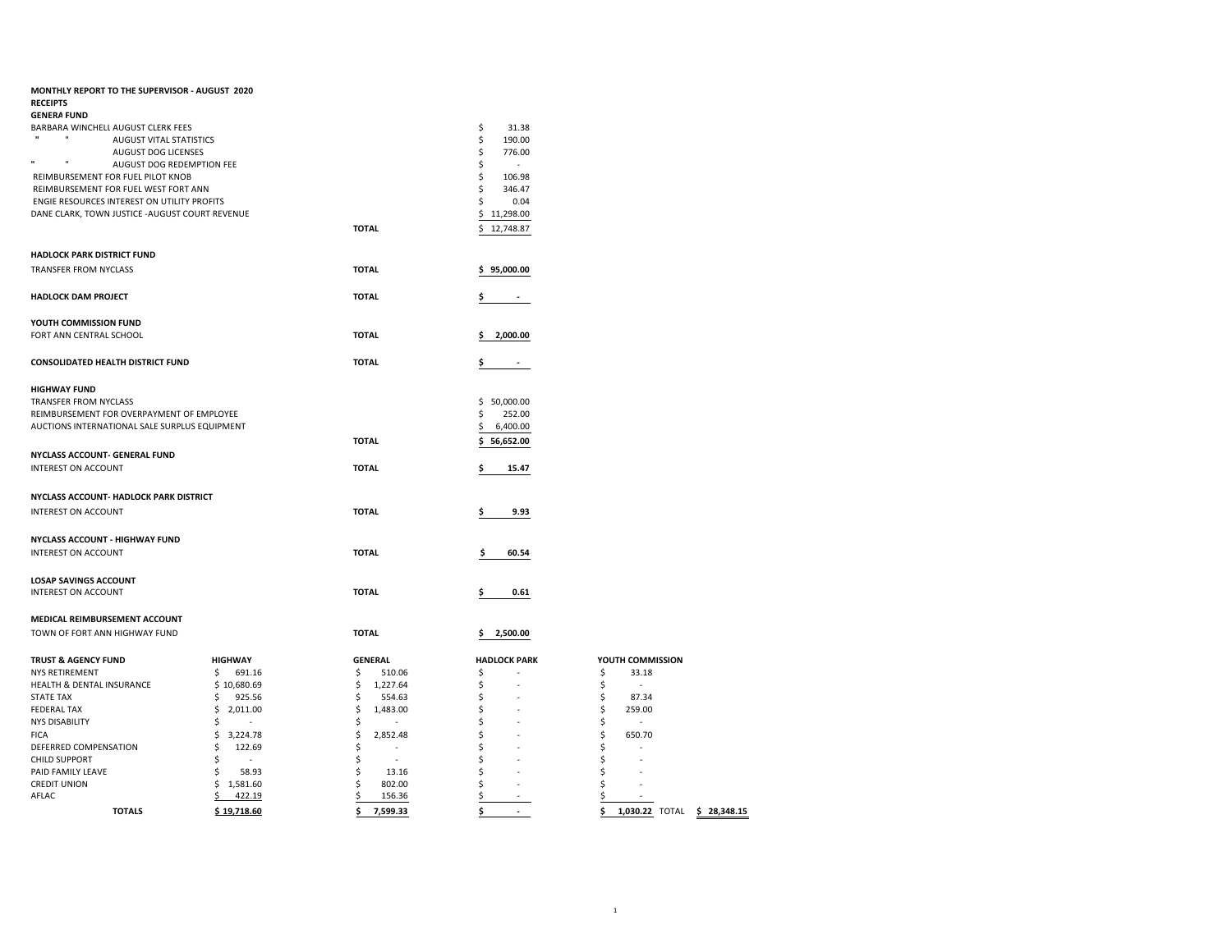| MONTHLY REPORT TO THE SUPERVISOR - AUGUST 2020<br><b>RECEIPTS</b><br><b>GENERA FUND</b> |                      |                          |                              |                                   |
|-----------------------------------------------------------------------------------------|----------------------|--------------------------|------------------------------|-----------------------------------|
| BARBARA WINCHELL AUGUST CLERK FEES<br><b>AUGUST VITAL STATISTICS</b>                    |                      |                          | \$<br>31.38<br>\$<br>190.00  |                                   |
| AUGUST DOG LICENSES<br>n<br>$\mathbf{u}$                                                |                      |                          | \$<br>776.00                 |                                   |
| AUGUST DOG REDEMPTION FEE<br>REIMBURSEMENT FOR FUEL PILOT KNOB                          |                      |                          | \$<br>$\sim$<br>\$<br>106.98 |                                   |
| REIMBURSEMENT FOR FUEL WEST FORT ANN                                                    |                      |                          | Ś<br>346.47                  |                                   |
| ENGIE RESOURCES INTEREST ON UTILITY PROFITS                                             |                      |                          | 0.04<br>\$                   |                                   |
| DANE CLARK, TOWN JUSTICE - AUGUST COURT REVENUE                                         |                      |                          | \$<br>11,298.00              |                                   |
|                                                                                         |                      | <b>TOTAL</b>             | 12,748.87<br>Ś.              |                                   |
| <b>HADLOCK PARK DISTRICT FUND</b>                                                       |                      |                          |                              |                                   |
| TRANSFER FROM NYCLASS                                                                   |                      | <b>TOTAL</b>             | \$95,000.00                  |                                   |
|                                                                                         |                      |                          |                              |                                   |
| <b>HADLOCK DAM PROJECT</b>                                                              |                      | <b>TOTAL</b>             |                              |                                   |
| YOUTH COMMISSION FUND                                                                   |                      |                          |                              |                                   |
| FORT ANN CENTRAL SCHOOL                                                                 |                      | <b>TOTAL</b>             | 2,000.00                     |                                   |
|                                                                                         |                      |                          |                              |                                   |
| <b>CONSOLIDATED HEALTH DISTRICT FUND</b>                                                |                      | <b>TOTAL</b>             | s<br>$\sim$                  |                                   |
| <b>HIGHWAY FUND</b>                                                                     |                      |                          |                              |                                   |
| <b>TRANSFER FROM NYCLASS</b>                                                            |                      |                          | \$50,000.00                  |                                   |
| REIMBURSEMENT FOR OVERPAYMENT OF EMPLOYEE                                               |                      |                          | \$<br>252.00                 |                                   |
| AUCTIONS INTERNATIONAL SALE SURPLUS EQUIPMENT                                           |                      |                          | \$<br>6,400.00               |                                   |
|                                                                                         |                      | <b>TOTAL</b>             | 56,652.00<br>\$              |                                   |
| NYCLASS ACCOUNT- GENERAL FUND                                                           |                      |                          |                              |                                   |
| <b>INTEREST ON ACCOUNT</b>                                                              |                      | <b>TOTAL</b>             | 15.47                        |                                   |
|                                                                                         |                      |                          |                              |                                   |
| NYCLASS ACCOUNT- HADLOCK PARK DISTRICT<br><b>INTEREST ON ACCOUNT</b>                    |                      | <b>TOTAL</b>             |                              |                                   |
|                                                                                         |                      |                          | 9.93                         |                                   |
| NYCLASS ACCOUNT - HIGHWAY FUND                                                          |                      |                          |                              |                                   |
| INTEREST ON ACCOUNT                                                                     |                      | <b>TOTAL</b>             | 60.54<br>Ś                   |                                   |
|                                                                                         |                      |                          |                              |                                   |
| <b>LOSAP SAVINGS ACCOUNT</b>                                                            |                      |                          |                              |                                   |
| INTEREST ON ACCOUNT                                                                     |                      | <b>TOTAL</b>             | 0.61                         |                                   |
| MEDICAL REIMBURSEMENT ACCOUNT                                                           |                      |                          |                              |                                   |
| TOWN OF FORT ANN HIGHWAY FUND                                                           |                      | <b>TOTAL</b>             | 2,500.00<br>s                |                                   |
|                                                                                         |                      |                          |                              |                                   |
| <b>TRUST &amp; AGENCY FUND</b>                                                          | <b>HIGHWAY</b>       | <b>GENERAL</b>           | <b>HADLOCK PARK</b>          | YOUTH COMMISSION                  |
| NYS RETIREMENT                                                                          | \$<br>691.16         | \$<br>510.06             | \$                           | \$<br>33.18                       |
| HEALTH & DENTAL INSURANCE                                                               | \$10,680.69          | \$<br>1,227.64           | \$                           | \$<br>×.                          |
| <b>STATE TAX</b>                                                                        | 925.56<br>\$         | \$<br>554.63             | \$                           | \$<br>87.34                       |
| <b>FEDERAL TAX</b>                                                                      | \$<br>2,011.00       | \$<br>1,483.00<br>$\sim$ | \$                           | \$<br>259.00<br>$\sim$            |
| <b>NYS DISABILITY</b><br><b>FICA</b>                                                    | \$<br>\$<br>3,224.78 | \$<br>\$<br>2,852.48     | \$<br>S                      | \$<br>\$<br>650.70                |
| DEFERRED COMPENSATION                                                                   | \$<br>122.69         | \$<br>$\sim$             | Ś                            | \$<br>i.                          |
| CHILD SUPPORT                                                                           | \$<br>$\sim$         | \$<br>$\sim$             | \$                           | \$                                |
| PAID FAMILY LEAVE                                                                       | \$<br>58.93          | \$<br>13.16              | Ś                            | \$                                |
| <b>CREDIT UNION</b>                                                                     | \$<br>1,581.60       | \$<br>802.00             | \$                           | \$                                |
| AFLAC                                                                                   | \$<br>422.19         | 156.36                   | \$                           | \$                                |
| <b>TOTALS</b>                                                                           | \$19,718.60          | 7,599.33<br>\$           | \$<br>$\sim$                 | \$<br>1,030.22 TOTAL \$ 28,348.15 |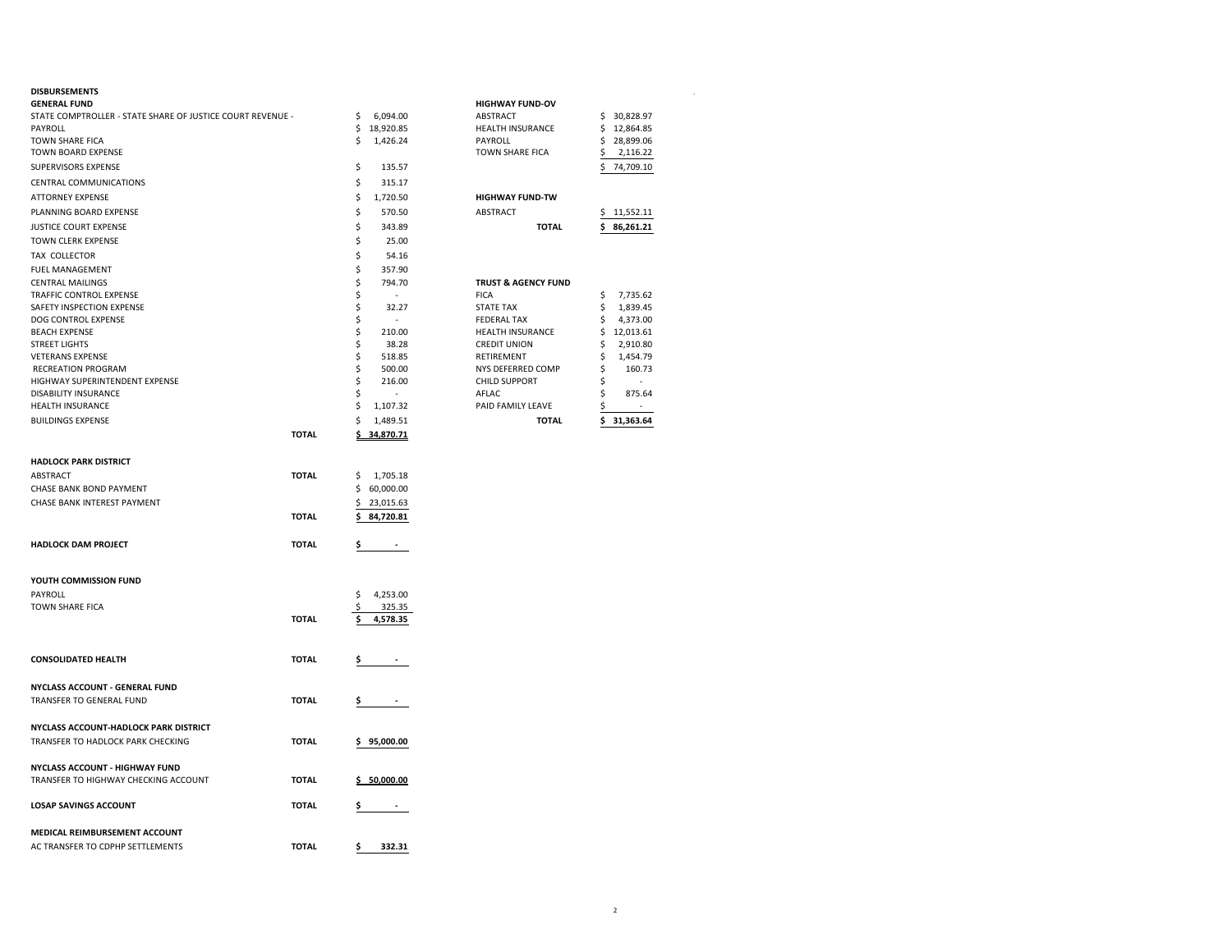## **DISBURSEMENTS** .

| <b>GENERAL FUND</b>                                        |              |          |                 | <b>HIGHWAY FUND-OV</b>                 |                                 |
|------------------------------------------------------------|--------------|----------|-----------------|----------------------------------------|---------------------------------|
| STATE COMPTROLLER - STATE SHARE OF JUSTICE COURT REVENUE - |              | \$       | 6,094.00        | ABSTRACT                               | 30,828.97<br>\$                 |
| PAYROLL                                                    |              | \$       | 18,920.85       | HEALTH INSURANCE                       | 12,864.85<br>\$                 |
| <b>TOWN SHARE FICA</b>                                     |              | Ś        | 1,426.24        | PAYROLL                                | Ś.<br>28,899.06                 |
| TOWN BOARD EXPENSE                                         |              |          |                 | TOWN SHARE FICA                        | \$<br>2,116.22                  |
| SUPERVISORS EXPENSE                                        |              | \$       | 135.57          |                                        | 74,709.10<br>\$                 |
| CENTRAL COMMUNICATIONS                                     |              | \$       | 315.17          |                                        |                                 |
| <b>ATTORNEY EXPENSE</b>                                    |              | \$       | 1,720.50        | <b>HIGHWAY FUND-TW</b>                 |                                 |
| PLANNING BOARD EXPENSE                                     |              | \$       | 570.50          | ABSTRACT                               | \$11,552.11                     |
| JUSTICE COURT EXPENSE                                      |              | \$       | 343.89          | <b>TOTAL</b>                           | 86,261.21<br>s                  |
| <b>TOWN CLERK EXPENSE</b>                                  |              | \$       | 25.00           |                                        |                                 |
| TAX COLLECTOR                                              |              | \$       | 54.16           |                                        |                                 |
| FUEL MANAGEMENT                                            |              | \$       | 357.90          |                                        |                                 |
| <b>CENTRAL MAILINGS</b>                                    |              | \$       | 794.70          | <b>TRUST &amp; AGENCY FUND</b>         |                                 |
| TRAFFIC CONTROL EXPENSE                                    |              | \$       | $\sim$          | <b>FICA</b>                            | 7,735.62<br>\$                  |
| SAFETY INSPECTION EXPENSE<br>DOG CONTROL EXPENSE           |              | \$<br>\$ | 32.27<br>$\sim$ | <b>STATE TAX</b><br><b>FEDERAL TAX</b> | \$<br>1,839.45<br>4,373.00<br>s |
| <b>BEACH EXPENSE</b>                                       |              | \$       | 210.00          | HEALTH INSURANCE                       | \$<br>12,013.61                 |
| <b>STREET LIGHTS</b>                                       |              | \$       | 38.28           | <b>CREDIT UNION</b>                    | \$<br>2,910.80                  |
| <b>VETERANS EXPENSE</b>                                    |              | \$       | 518.85          | RETIREMENT                             | \$<br>1,454.79                  |
| <b>RECREATION PROGRAM</b>                                  |              | \$       | 500.00          | NYS DEFERRED COMP                      | \$<br>160.73                    |
| HIGHWAY SUPERINTENDENT EXPENSE                             |              | \$       | 216.00          | <b>CHILD SUPPORT</b>                   | Ś                               |
| DISABILITY INSURANCE                                       |              | \$       |                 | AFLAC                                  | \$<br>875.64                    |
| <b>HEALTH INSURANCE</b>                                    |              | \$       | 1,107.32        | PAID FAMILY LEAVE                      | \$<br>$\sim$                    |
| <b>BUILDINGS EXPENSE</b>                                   |              | \$       | 1,489.51        | <b>TOTAL</b>                           | \$31,363.64                     |
|                                                            | <b>TOTAL</b> | \$_      | 34,870.71       |                                        |                                 |
|                                                            |              |          |                 |                                        |                                 |
| <b>HADLOCK PARK DISTRICT</b>                               |              |          |                 |                                        |                                 |
| ABSTRACT                                                   | <b>TOTAL</b> | \$       | 1,705.18        |                                        |                                 |
| CHASE BANK BOND PAYMENT                                    |              | \$       | 60,000.00       |                                        |                                 |
| CHASE BANK INTEREST PAYMENT                                |              | \$       | 23,015.63       |                                        |                                 |
|                                                            | <b>TOTAL</b> | \$       | 84,720.81       |                                        |                                 |
| <b>HADLOCK DAM PROJECT</b>                                 | <b>TOTAL</b> | \$       |                 |                                        |                                 |
| YOUTH COMMISSION FUND                                      |              |          |                 |                                        |                                 |
| PAYROLL                                                    |              | \$       | 4,253.00        |                                        |                                 |
| TOWN SHARE FICA                                            |              | \$       | 325.35          |                                        |                                 |
|                                                            | <b>TOTAL</b> |          | 4,578.35        |                                        |                                 |
| <b>CONSOLIDATED HEALTH</b>                                 | <b>TOTAL</b> | Ş        |                 |                                        |                                 |
| NYCLASS ACCOUNT - GENERAL FUND                             |              |          |                 |                                        |                                 |
| TRANSFER TO GENERAL FUND                                   | <b>TOTAL</b> | \$       |                 |                                        |                                 |
|                                                            |              |          |                 |                                        |                                 |
| NYCLASS ACCOUNT-HADLOCK PARK DISTRICT                      |              |          |                 |                                        |                                 |
| TRANSFER TO HADLOCK PARK CHECKING                          | <b>TOTAL</b> |          | 95,000.00       |                                        |                                 |
|                                                            |              |          |                 |                                        |                                 |
| NYCLASS ACCOUNT - HIGHWAY FUND                             |              |          |                 |                                        |                                 |
| TRANSFER TO HIGHWAY CHECKING ACCOUNT                       | <b>TOTAL</b> |          | \$50,000.00     |                                        |                                 |
| <b>LOSAP SAVINGS ACCOUNT</b>                               | <b>TOTAL</b> | Ş        |                 |                                        |                                 |
| <b>MEDICAL REIMBURSEMENT ACCOUNT</b>                       |              |          |                 |                                        |                                 |
| AC TRANSFER TO CDPHP SETTLEMENTS                           | <b>TOTAL</b> | \$       | 332.31          |                                        |                                 |
|                                                            |              |          |                 |                                        |                                 |

| <b>HIGHWAY FUND-OV</b>                    |              |     |          |
|-------------------------------------------|--------------|-----|----------|
| <b>ABSTRACT</b>                           |              | \$  | 30,828.9 |
| <b>HEALTH INSURANCE</b>                   |              | \$  | 12.864.8 |
| PAYROLL                                   |              | Ś.  | 28.899.0 |
| <b>TOWN SHARE FICA</b>                    |              | \$  | 2,116.2  |
|                                           |              | \$  | 74.709.1 |
| <b>HIGHWAY FUND-TW</b><br><b>ABSTRACT</b> |              | \$. | 11,552.1 |
|                                           |              |     |          |
|                                           | <b>TOTAL</b> | \$. | 86.261.2 |
| <b>TRUST &amp; AGENCY FUND</b>            |              |     |          |

| <b>TOTAL</b>            |    | 31.363.64 |
|-------------------------|----|-----------|
| PAID FAMILY LEAVE       | \$ |           |
| AFLAC                   | Ś  | 875.64    |
| CHILD SUPPORT           | \$ |           |
| NYS DEFERRED COMP       | \$ | 160.73    |
| RETIREMENT              | \$ | 1.454.79  |
| <b>CREDIT UNION</b>     | Ś  | 2.910.80  |
| <b>HEALTH INSURANCE</b> | Ś  | 12,013.61 |
| <b>FEDERAL TAX</b>      | \$ | 4,373.00  |
| <b>STATE TAX</b>        | \$ | 1,839.45  |
| <b>FICA</b>             | \$ | 7,735.62  |
|                         |    |           |